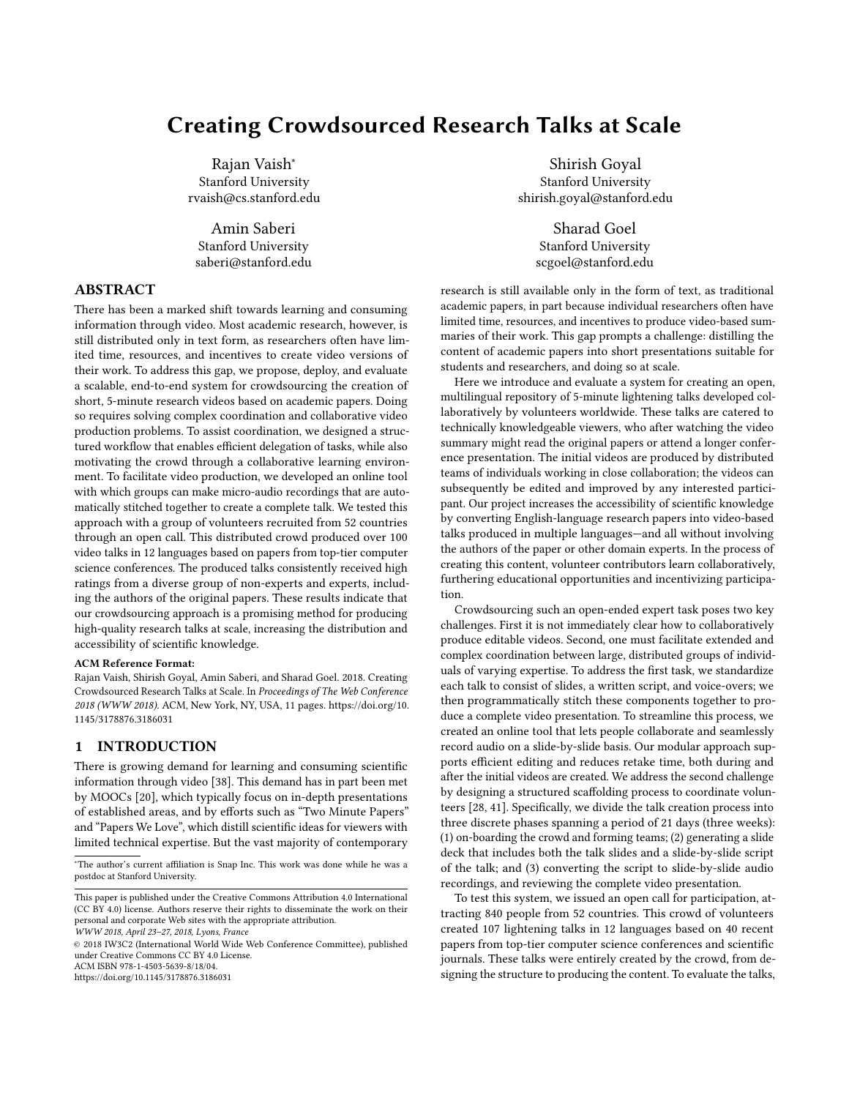# Creating Crowdsourced Research Talks at Scale

Rajan Vaish<sup>∗</sup> Stanford University rvaish@cs.stanford.edu

Amin Saberi Stanford University saberi@stanford.edu

# ABSTRACT

There has been a marked shift towards learning and consuming information through video. Most academic research, however, is still distributed only in text form, as researchers often have limited time, resources, and incentives to create video versions of their work. To address this gap, we propose, deploy, and evaluate a scalable, end-to-end system for crowdsourcing the creation of short, 5-minute research videos based on academic papers. Doing so requires solving complex coordination and collaborative video production problems. To assist coordination, we designed a structured workflow that enables efficient delegation of tasks, while also motivating the crowd through a collaborative learning environment. To facilitate video production, we developed an online tool with which groups can make micro-audio recordings that are automatically stitched together to create a complete talk. We tested this approach with a group of volunteers recruited from 52 countries through an open call. This distributed crowd produced over 100 video talks in 12 languages based on papers from top-tier computer science conferences. The produced talks consistently received high ratings from a diverse group of non-experts and experts, including the authors of the original papers. These results indicate that our crowdsourcing approach is a promising method for producing high-quality research talks at scale, increasing the distribution and accessibility of scientific knowledge.

#### ACM Reference Format:

Rajan Vaish, Shirish Goyal, Amin Saberi, and Sharad Goel. 2018. Creating Crowdsourced Research Talks at Scale. In Proceedings of The Web Conference 2018 (WWW 2018). ACM, New York, NY, USA, [11](#page-10-0) pages. [https://doi.org/10.](https://doi.org/10.1145/3178876.3186031) [1145/3178876.3186031](https://doi.org/10.1145/3178876.3186031)

## 1 INTRODUCTION

There is growing demand for learning and consuming scientific information through video [\[38\]](#page-9-0). This demand has in part been met by MOOCs [\[20\]](#page-9-1), which typically focus on in-depth presentations of established areas, and by efforts such as "Two Minute Papers" and "Papers We Love", which distill scientific ideas for viewers with limited technical expertise. But the vast majority of contemporary

© 2018 IW3C2 (International World Wide Web Conference Committee), published under Creative Commons CC BY 4.0 License.

ACM ISBN 978-1-4503-5639-8/18/04.

<https://doi.org/10.1145/3178876.3186031>

Shirish Goyal Stanford University shirish.goyal@stanford.edu

> Sharad Goel Stanford University scgoel@stanford.edu

research is still available only in the form of text, as traditional academic papers, in part because individual researchers often have limited time, resources, and incentives to produce video-based summaries of their work. This gap prompts a challenge: distilling the content of academic papers into short presentations suitable for students and researchers, and doing so at scale.

Here we introduce and evaluate a system for creating an open, multilingual repository of 5-minute lightening talks developed collaboratively by volunteers worldwide. These talks are catered to technically knowledgeable viewers, who after watching the video summary might read the original papers or attend a longer conference presentation. The initial videos are produced by distributed teams of individuals working in close collaboration; the videos can subsequently be edited and improved by any interested participant. Our project increases the accessibility of scientific knowledge by converting English-language research papers into video-based talks produced in multiple languages—and all without involving the authors of the paper or other domain experts. In the process of creating this content, volunteer contributors learn collaboratively, furthering educational opportunities and incentivizing participation.

Crowdsourcing such an open-ended expert task poses two key challenges. First it is not immediately clear how to collaboratively produce editable videos. Second, one must facilitate extended and complex coordination between large, distributed groups of individuals of varying expertise. To address the first task, we standardize each talk to consist of slides, a written script, and voice-overs; we then programmatically stitch these components together to produce a complete video presentation. To streamline this process, we created an online tool that lets people collaborate and seamlessly record audio on a slide-by-slide basis. Our modular approach supports efficient editing and reduces retake time, both during and after the initial videos are created. We address the second challenge by designing a structured scaffolding process to coordinate volunteers [\[28,](#page-9-2) [41\]](#page-9-3). Specifically, we divide the talk creation process into three discrete phases spanning a period of 21 days (three weeks): (1) on-boarding the crowd and forming teams; (2) generating a slide deck that includes both the talk slides and a slide-by-slide script of the talk; and (3) converting the script to slide-by-slide audio recordings, and reviewing the complete video presentation.

To test this system, we issued an open call for participation, attracting 840 people from 52 countries. This crowd of volunteers created 107 lightening talks in 12 languages based on 40 recent papers from top-tier computer science conferences and scientific journals. These talks were entirely created by the crowd, from designing the structure to producing the content. To evaluate the talks,

<sup>∗</sup>The author's current affiliation is Snap Inc. This work was done while he was a postdoc at Stanford University.

This paper is published under the Creative Commons Attribution 4.0 International (CC BY 4.0) license. Authors reserve their rights to disseminate the work on their personal and corporate Web sites with the appropriate attribution.

WWW 2018, April 23–27, 2018, Lyons, France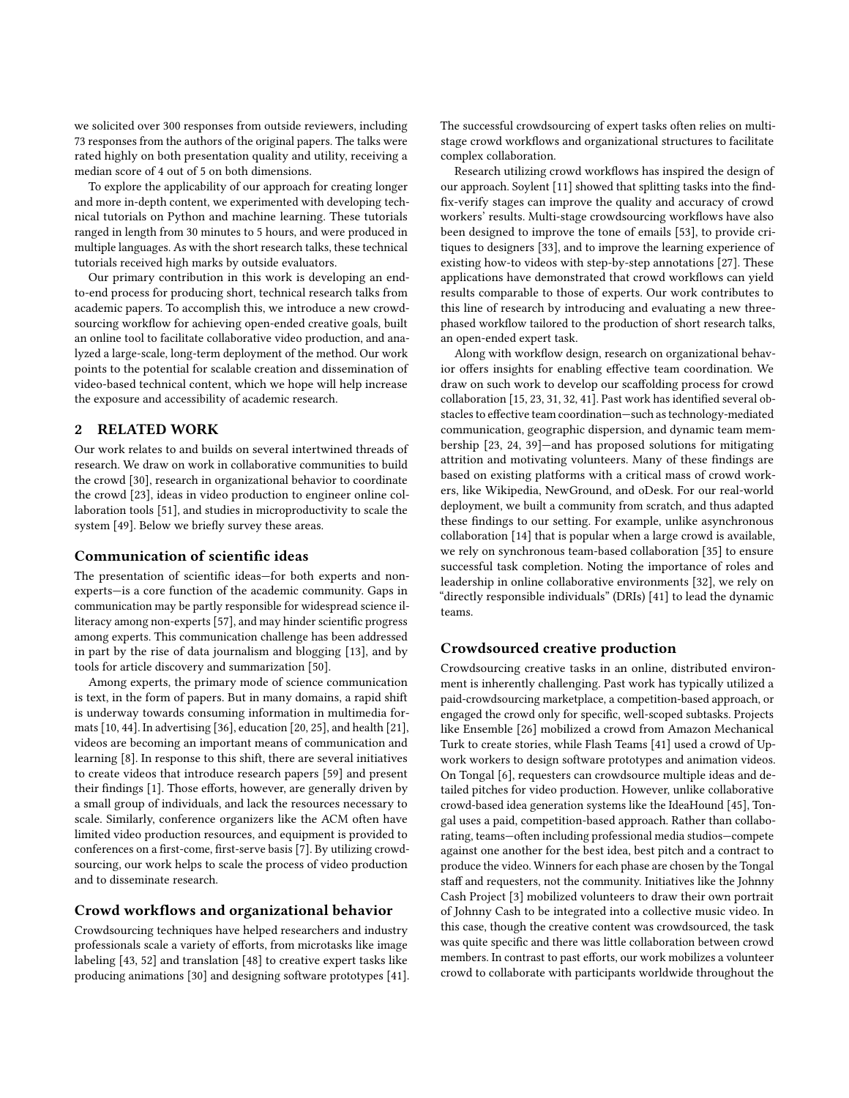we solicited over 300 responses from outside reviewers, including 73 responses from the authors of the original papers. The talks were rated highly on both presentation quality and utility, receiving a median score of 4 out of 5 on both dimensions.

To explore the applicability of our approach for creating longer and more in-depth content, we experimented with developing technical tutorials on Python and machine learning. These tutorials ranged in length from 30 minutes to 5 hours, and were produced in multiple languages. As with the short research talks, these technical tutorials received high marks by outside evaluators.

Our primary contribution in this work is developing an endto-end process for producing short, technical research talks from academic papers. To accomplish this, we introduce a new crowdsourcing workflow for achieving open-ended creative goals, built an online tool to facilitate collaborative video production, and analyzed a large-scale, long-term deployment of the method. Our work points to the potential for scalable creation and dissemination of video-based technical content, which we hope will help increase the exposure and accessibility of academic research.

## 2 RELATED WORK

Our work relates to and builds on several intertwined threads of research. We draw on work in collaborative communities to build the crowd [\[30\]](#page-9-4), research in organizational behavior to coordinate the crowd [\[23\]](#page-9-5), ideas in video production to engineer online collaboration tools [\[51\]](#page-9-6), and studies in microproductivity to scale the system [\[49\]](#page-9-7). Below we briefly survey these areas.

## Communication of scientific ideas

The presentation of scientific ideas—for both experts and nonexperts—is a core function of the academic community. Gaps in communication may be partly responsible for widespread science illiteracy among non-experts [\[57\]](#page-10-1), and may hinder scientific progress among experts. This communication challenge has been addressed in part by the rise of data journalism and blogging [\[13\]](#page-9-8), and by tools for article discovery and summarization [\[50\]](#page-9-9).

Among experts, the primary mode of science communication is text, in the form of papers. But in many domains, a rapid shift is underway towards consuming information in multimedia formats [\[10,](#page-9-10) [44\]](#page-9-11). In advertising [\[36\]](#page-9-12), education [\[20,](#page-9-1) [25\]](#page-9-13), and health [\[21\]](#page-9-14), videos are becoming an important means of communication and learning [\[8\]](#page-9-15). In response to this shift, there are several initiatives to create videos that introduce research papers [\[59\]](#page-10-2) and present their findings [\[1\]](#page-9-16). Those efforts, however, are generally driven by a small group of individuals, and lack the resources necessary to scale. Similarly, conference organizers like the ACM often have limited video production resources, and equipment is provided to conferences on a first-come, first-serve basis [\[7\]](#page-9-17). By utilizing crowdsourcing, our work helps to scale the process of video production and to disseminate research.

#### Crowd workflows and organizational behavior

Crowdsourcing techniques have helped researchers and industry professionals scale a variety of efforts, from microtasks like image labeling [\[43,](#page-9-18) [52\]](#page-9-19) and translation [\[48\]](#page-9-20) to creative expert tasks like producing animations [\[30\]](#page-9-4) and designing software prototypes [\[41\]](#page-9-3). The successful crowdsourcing of expert tasks often relies on multistage crowd workflows and organizational structures to facilitate complex collaboration.

Research utilizing crowd workflows has inspired the design of our approach. Soylent [\[11\]](#page-9-21) showed that splitting tasks into the findfix-verify stages can improve the quality and accuracy of crowd workers' results. Multi-stage crowdsourcing workflows have also been designed to improve the tone of emails [\[53\]](#page-9-22), to provide critiques to designers [\[33\]](#page-9-23), and to improve the learning experience of existing how-to videos with step-by-step annotations [\[27\]](#page-9-24). These applications have demonstrated that crowd workflows can yield results comparable to those of experts. Our work contributes to this line of research by introducing and evaluating a new threephased workflow tailored to the production of short research talks, an open-ended expert task.

Along with workflow design, research on organizational behavior offers insights for enabling effective team coordination. We draw on such work to develop our scaffolding process for crowd collaboration [\[15,](#page-9-25) [23,](#page-9-5) [31,](#page-9-26) [32,](#page-9-27) [41\]](#page-9-3). Past work has identified several obstacles to effective team coordination—such as technology-mediated communication, geographic dispersion, and dynamic team membership [\[23,](#page-9-5) [24,](#page-9-28) [39\]](#page-9-29)—and has proposed solutions for mitigating attrition and motivating volunteers. Many of these findings are based on existing platforms with a critical mass of crowd workers, like Wikipedia, NewGround, and oDesk. For our real-world deployment, we built a community from scratch, and thus adapted these findings to our setting. For example, unlike asynchronous collaboration [\[14\]](#page-9-30) that is popular when a large crowd is available, we rely on synchronous team-based collaboration [\[35\]](#page-9-31) to ensure successful task completion. Noting the importance of roles and leadership in online collaborative environments [\[32\]](#page-9-27), we rely on "directly responsible individuals" (DRIs) [\[41\]](#page-9-3) to lead the dynamic teams.

#### Crowdsourced creative production

Crowdsourcing creative tasks in an online, distributed environment is inherently challenging. Past work has typically utilized a paid-crowdsourcing marketplace, a competition-based approach, or engaged the crowd only for specific, well-scoped subtasks. Projects like Ensemble [\[26\]](#page-9-32) mobilized a crowd from Amazon Mechanical Turk to create stories, while Flash Teams [\[41\]](#page-9-3) used a crowd of Upwork workers to design software prototypes and animation videos. On Tongal [\[6\]](#page-9-33), requesters can crowdsource multiple ideas and detailed pitches for video production. However, unlike collaborative crowd-based idea generation systems like the IdeaHound [\[45\]](#page-9-34), Tongal uses a paid, competition-based approach. Rather than collaborating, teams—often including professional media studios—compete against one another for the best idea, best pitch and a contract to produce the video. Winners for each phase are chosen by the Tongal staff and requesters, not the community. Initiatives like the Johnny Cash Project [\[3\]](#page-9-35) mobilized volunteers to draw their own portrait of Johnny Cash to be integrated into a collective music video. In this case, though the creative content was crowdsourced, the task was quite specific and there was little collaboration between crowd members. In contrast to past efforts, our work mobilizes a volunteer crowd to collaborate with participants worldwide throughout the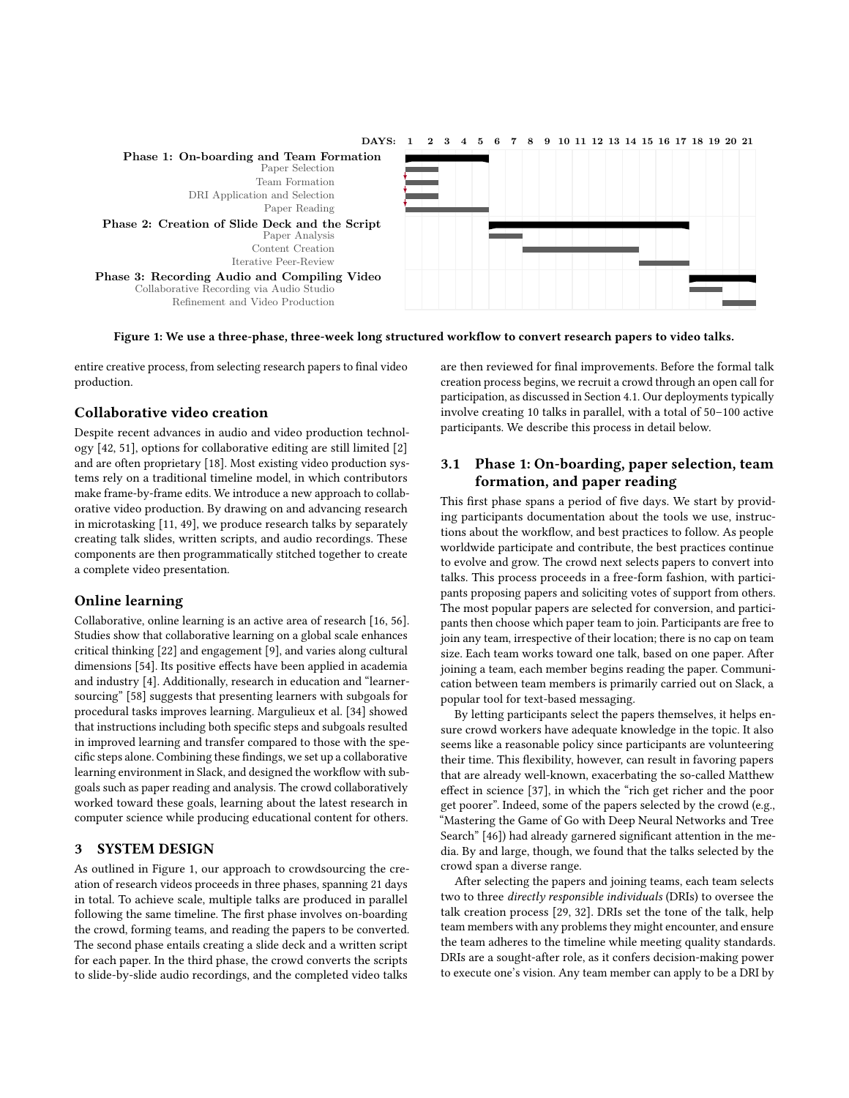<span id="page-2-0"></span>

Figure 1: We use a three-phase, three-week long structured workflow to convert research papers to video talks.

entire creative process, from selecting research papers to final video production.

## Collaborative video creation

Despite recent advances in audio and video production technology [\[42,](#page-9-36) [51\]](#page-9-6), options for collaborative editing are still limited [\[2\]](#page-9-37) and are often proprietary [\[18\]](#page-9-38). Most existing video production systems rely on a traditional timeline model, in which contributors make frame-by-frame edits. We introduce a new approach to collaborative video production. By drawing on and advancing research in microtasking [\[11,](#page-9-21) [49\]](#page-9-7), we produce research talks by separately creating talk slides, written scripts, and audio recordings. These components are then programmatically stitched together to create a complete video presentation.

## Online learning

Collaborative, online learning is an active area of research [\[16,](#page-9-39) [56\]](#page-10-3). Studies show that collaborative learning on a global scale enhances critical thinking [\[22\]](#page-9-40) and engagement [\[9\]](#page-9-41), and varies along cultural dimensions [\[54\]](#page-9-42). Its positive effects have been applied in academia and industry [\[4\]](#page-9-43). Additionally, research in education and "learnersourcing" [\[58\]](#page-10-4) suggests that presenting learners with subgoals for procedural tasks improves learning. Margulieux et al. [\[34\]](#page-9-44) showed that instructions including both specific steps and subgoals resulted in improved learning and transfer compared to those with the specific steps alone. Combining these findings, we set up a collaborative learning environment in Slack, and designed the workflow with subgoals such as paper reading and analysis. The crowd collaboratively worked toward these goals, learning about the latest research in computer science while producing educational content for others.

## 3 SYSTEM DESIGN

As outlined in Figure [1,](#page-2-0) our approach to crowdsourcing the creation of research videos proceeds in three phases, spanning 21 days in total. To achieve scale, multiple talks are produced in parallel following the same timeline. The first phase involves on-boarding the crowd, forming teams, and reading the papers to be converted. The second phase entails creating a slide deck and a written script for each paper. In the third phase, the crowd converts the scripts to slide-by-slide audio recordings, and the completed video talks

are then reviewed for final improvements. Before the formal talk creation process begins, we recruit a crowd through an open call for participation, as discussed in Section [4.1.](#page-5-0) Our deployments typically involve creating 10 talks in parallel, with a total of 50–100 active participants. We describe this process in detail below.

# 3.1 Phase 1: On-boarding, paper selection, team formation, and paper reading

This first phase spans a period of five days. We start by providing participants documentation about the tools we use, instructions about the workflow, and best practices to follow. As people worldwide participate and contribute, the best practices continue to evolve and grow. The crowd next selects papers to convert into talks. This process proceeds in a free-form fashion, with participants proposing papers and soliciting votes of support from others. The most popular papers are selected for conversion, and participants then choose which paper team to join. Participants are free to join any team, irrespective of their location; there is no cap on team size. Each team works toward one talk, based on one paper. After joining a team, each member begins reading the paper. Communication between team members is primarily carried out on Slack, a popular tool for text-based messaging.

By letting participants select the papers themselves, it helps ensure crowd workers have adequate knowledge in the topic. It also seems like a reasonable policy since participants are volunteering their time. This flexibility, however, can result in favoring papers that are already well-known, exacerbating the so-called Matthew effect in science [\[37\]](#page-9-45), in which the "rich get richer and the poor get poorer". Indeed, some of the papers selected by the crowd (e.g., "Mastering the Game of Go with Deep Neural Networks and Tree Search" [\[46\]](#page-9-46)) had already garnered significant attention in the media. By and large, though, we found that the talks selected by the crowd span a diverse range.

After selecting the papers and joining teams, each team selects two to three directly responsible individuals (DRIs) to oversee the talk creation process [\[29,](#page-9-47) [32\]](#page-9-27). DRIs set the tone of the talk, help team members with any problems they might encounter, and ensure the team adheres to the timeline while meeting quality standards. DRIs are a sought-after role, as it confers decision-making power to execute one's vision. Any team member can apply to be a DRI by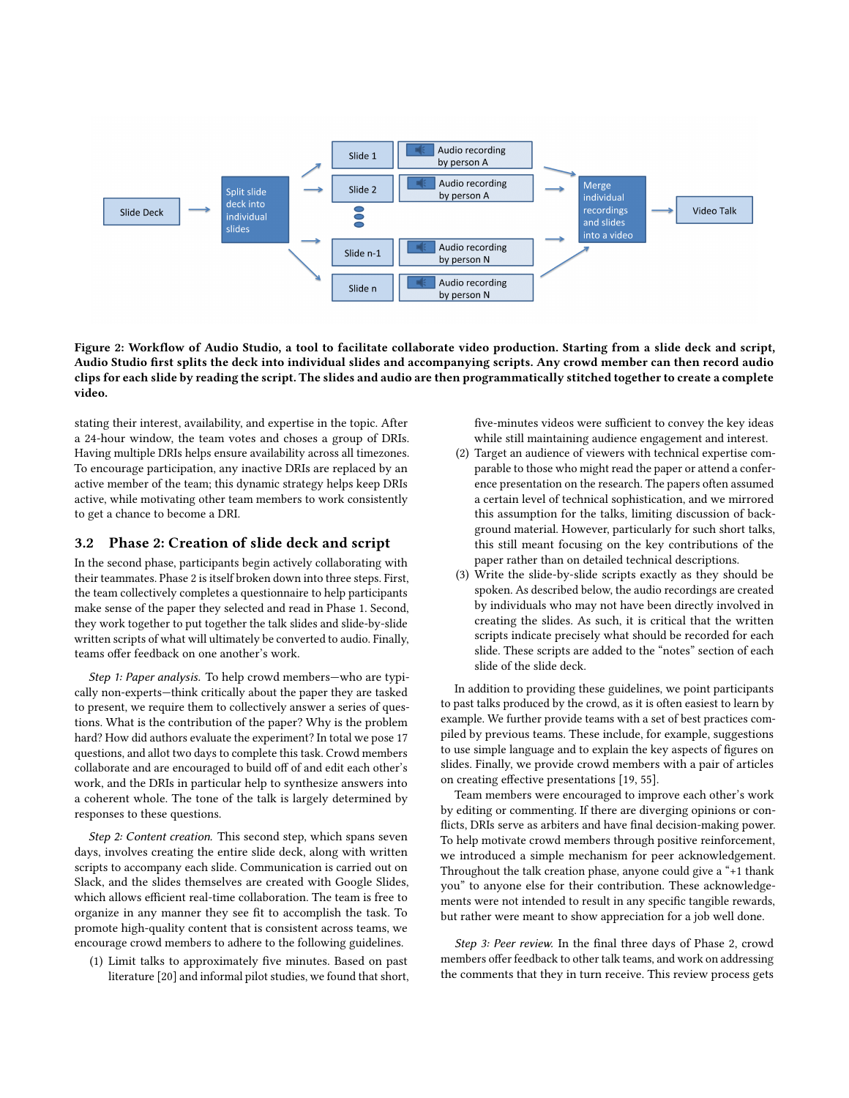<span id="page-3-0"></span>

Figure 2: Workflow of Audio Studio, a tool to facilitate collaborate video production. Starting from a slide deck and script, Audio Studio first splits the deck into individual slides and accompanying scripts. Any crowd member can then record audio clips for each slide by reading the script. The slides and audio are then programmatically stitched together to create a complete video.

stating their interest, availability, and expertise in the topic. After a 24-hour window, the team votes and choses a group of DRIs. Having multiple DRIs helps ensure availability across all timezones. To encourage participation, any inactive DRIs are replaced by an active member of the team; this dynamic strategy helps keep DRIs active, while motivating other team members to work consistently to get a chance to become a DRI.

#### 3.2 Phase 2: Creation of slide deck and script

In the second phase, participants begin actively collaborating with their teammates. Phase 2 is itself broken down into three steps. First, the team collectively completes a questionnaire to help participants make sense of the paper they selected and read in Phase 1. Second, they work together to put together the talk slides and slide-by-slide written scripts of what will ultimately be converted to audio. Finally, teams offer feedback on one another's work.

Step 1: Paper analysis. To help crowd members—who are typically non-experts—think critically about the paper they are tasked to present, we require them to collectively answer a series of questions. What is the contribution of the paper? Why is the problem hard? How did authors evaluate the experiment? In total we pose 17 questions, and allot two days to complete this task. Crowd members collaborate and are encouraged to build off of and edit each other's work, and the DRIs in particular help to synthesize answers into a coherent whole. The tone of the talk is largely determined by responses to these questions.

Step 2: Content creation. This second step, which spans seven days, involves creating the entire slide deck, along with written scripts to accompany each slide. Communication is carried out on Slack, and the slides themselves are created with Google Slides, which allows efficient real-time collaboration. The team is free to organize in any manner they see fit to accomplish the task. To promote high-quality content that is consistent across teams, we encourage crowd members to adhere to the following guidelines.

(1) Limit talks to approximately five minutes. Based on past literature [\[20\]](#page-9-1) and informal pilot studies, we found that short, five-minutes videos were sufficient to convey the key ideas while still maintaining audience engagement and interest.

- (2) Target an audience of viewers with technical expertise comparable to those who might read the paper or attend a conference presentation on the research. The papers often assumed a certain level of technical sophistication, and we mirrored this assumption for the talks, limiting discussion of background material. However, particularly for such short talks, this still meant focusing on the key contributions of the paper rather than on detailed technical descriptions.
- (3) Write the slide-by-slide scripts exactly as they should be spoken. As described below, the audio recordings are created by individuals who may not have been directly involved in creating the slides. As such, it is critical that the written scripts indicate precisely what should be recorded for each slide. These scripts are added to the "notes" section of each slide of the slide deck.

In addition to providing these guidelines, we point participants to past talks produced by the crowd, as it is often easiest to learn by example. We further provide teams with a set of best practices compiled by previous teams. These include, for example, suggestions to use simple language and to explain the key aspects of figures on slides. Finally, we provide crowd members with a pair of articles on creating effective presentations [\[19,](#page-9-48) [55\]](#page-10-5).

Team members were encouraged to improve each other's work by editing or commenting. If there are diverging opinions or conflicts, DRIs serve as arbiters and have final decision-making power. To help motivate crowd members through positive reinforcement, we introduced a simple mechanism for peer acknowledgement. Throughout the talk creation phase, anyone could give a "+1 thank you" to anyone else for their contribution. These acknowledgements were not intended to result in any specific tangible rewards, but rather were meant to show appreciation for a job well done.

Step 3: Peer review. In the final three days of Phase 2, crowd members offer feedback to other talk teams, and work on addressing the comments that they in turn receive. This review process gets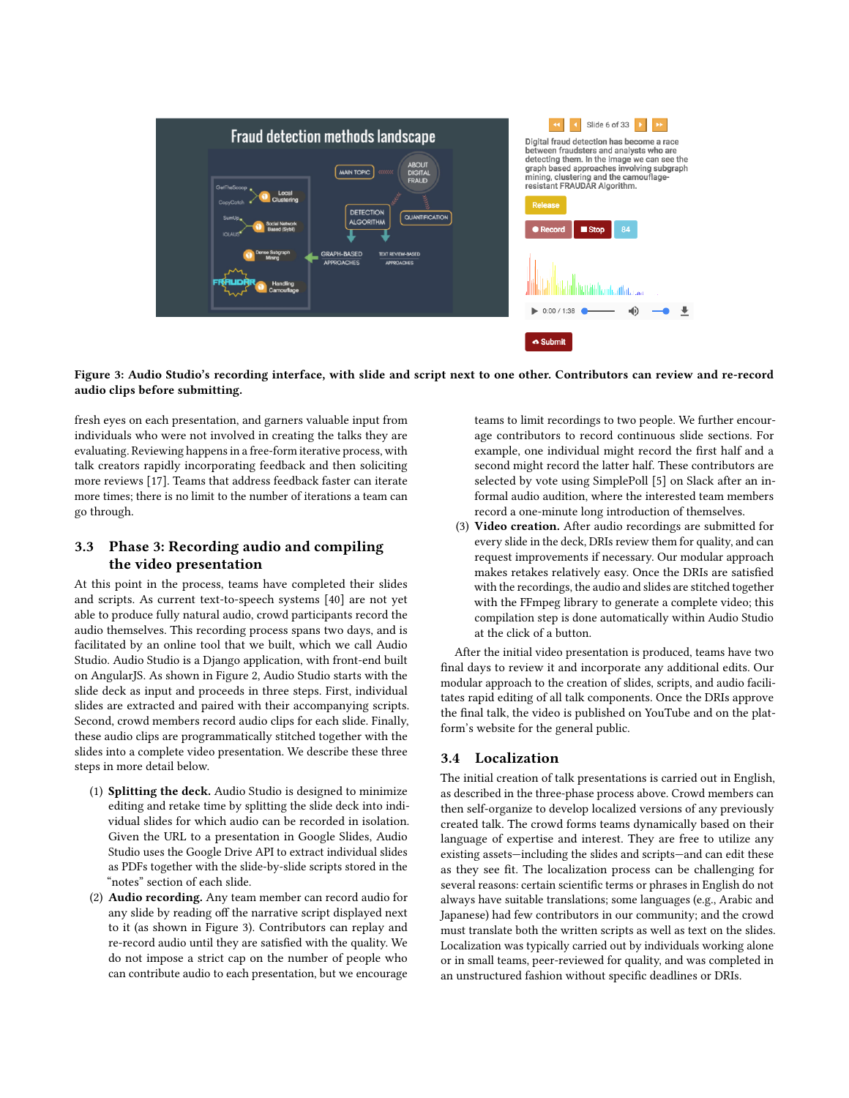<span id="page-4-0"></span>

Figure 3: Audio Studio's recording interface, with slide and script next to one other. Contributors can review and re-record audio clips before submitting.

fresh eyes on each presentation, and garners valuable input from individuals who were not involved in creating the talks they are evaluating. Reviewing happens in a free-form iterative process, with talk creators rapidly incorporating feedback and then soliciting more reviews [\[17\]](#page-9-49). Teams that address feedback faster can iterate more times; there is no limit to the number of iterations a team can go through.

# 3.3 Phase 3: Recording audio and compiling the video presentation

At this point in the process, teams have completed their slides and scripts. As current text-to-speech systems [\[40\]](#page-9-50) are not yet able to produce fully natural audio, crowd participants record the audio themselves. This recording process spans two days, and is facilitated by an online tool that we built, which we call Audio Studio. Audio Studio is a Django application, with front-end built on AngularJS. As shown in Figure [2,](#page-3-0) Audio Studio starts with the slide deck as input and proceeds in three steps. First, individual slides are extracted and paired with their accompanying scripts. Second, crowd members record audio clips for each slide. Finally, these audio clips are programmatically stitched together with the slides into a complete video presentation. We describe these three steps in more detail below.

- (1) Splitting the deck. Audio Studio is designed to minimize editing and retake time by splitting the slide deck into individual slides for which audio can be recorded in isolation. Given the URL to a presentation in Google Slides, Audio Studio uses the Google Drive API to extract individual slides as PDFs together with the slide-by-slide scripts stored in the "notes" section of each slide.
- (2) Audio recording. Any team member can record audio for any slide by reading off the narrative script displayed next to it (as shown in Figure [3\)](#page-4-0). Contributors can replay and re-record audio until they are satisfied with the quality. We do not impose a strict cap on the number of people who can contribute audio to each presentation, but we encourage

teams to limit recordings to two people. We further encourage contributors to record continuous slide sections. For example, one individual might record the first half and a second might record the latter half. These contributors are selected by vote using SimplePoll [\[5\]](#page-9-51) on Slack after an informal audio audition, where the interested team members record a one-minute long introduction of themselves.

(3) Video creation. After audio recordings are submitted for every slide in the deck, DRIs review them for quality, and can request improvements if necessary. Our modular approach makes retakes relatively easy. Once the DRIs are satisfied with the recordings, the audio and slides are stitched together with the FFmpeg library to generate a complete video; this compilation step is done automatically within Audio Studio at the click of a button.

After the initial video presentation is produced, teams have two final days to review it and incorporate any additional edits. Our modular approach to the creation of slides, scripts, and audio facilitates rapid editing of all talk components. Once the DRIs approve the final talk, the video is published on YouTube and on the platform's website for the general public.

# 3.4 Localization

The initial creation of talk presentations is carried out in English, as described in the three-phase process above. Crowd members can then self-organize to develop localized versions of any previously created talk. The crowd forms teams dynamically based on their language of expertise and interest. They are free to utilize any existing assets—including the slides and scripts—and can edit these as they see fit. The localization process can be challenging for several reasons: certain scientific terms or phrases in English do not always have suitable translations; some languages (e.g., Arabic and Japanese) had few contributors in our community; and the crowd must translate both the written scripts as well as text on the slides. Localization was typically carried out by individuals working alone or in small teams, peer-reviewed for quality, and was completed in an unstructured fashion without specific deadlines or DRIs.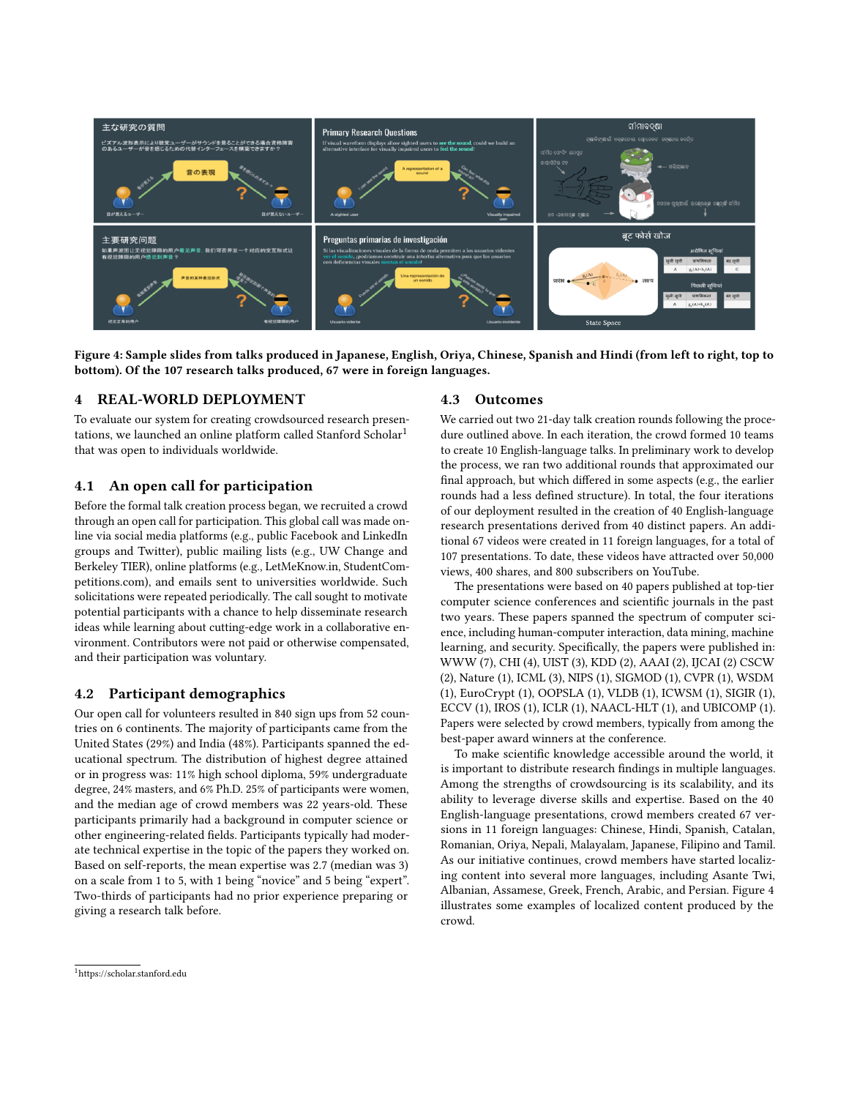<span id="page-5-2"></span>

Figure 4: Sample slides from talks produced in Japanese, English, Oriya, Chinese, Spanish and Hindi (from left to right, top to bottom). Of the 107 research talks produced, 67 were in foreign languages.

## 4 REAL-WORLD DEPLOYMENT

To evaluate our system for creating crowdsourced research presen-tations, we launched an online platform called Stanford Scholar<sup>[1](#page-5-1)</sup> that was open to individuals worldwide.

## <span id="page-5-0"></span>4.1 An open call for participation

Before the formal talk creation process began, we recruited a crowd through an open call for participation. This global call was made online via social media platforms (e.g., public Facebook and LinkedIn groups and Twitter), public mailing lists (e.g., UW Change and Berkeley TIER), online platforms (e.g., LetMeKnow.in, StudentCompetitions.com), and emails sent to universities worldwide. Such solicitations were repeated periodically. The call sought to motivate potential participants with a chance to help disseminate research ideas while learning about cutting-edge work in a collaborative environment. Contributors were not paid or otherwise compensated, and their participation was voluntary.

## 4.2 Participant demographics

Our open call for volunteers resulted in 840 sign ups from 52 countries on 6 continents. The majority of participants came from the United States (29%) and India (48%). Participants spanned the educational spectrum. The distribution of highest degree attained or in progress was: 11% high school diploma, 59% undergraduate degree, 24% masters, and 6% Ph.D. 25% of participants were women, and the median age of crowd members was 22 years-old. These participants primarily had a background in computer science or other engineering-related fields. Participants typically had moderate technical expertise in the topic of the papers they worked on. Based on self-reports, the mean expertise was 2.7 (median was 3) on a scale from 1 to 5, with 1 being "novice" and 5 being "expert". Two-thirds of participants had no prior experience preparing or giving a research talk before.

#### 4.3 Outcomes

We carried out two 21-day talk creation rounds following the procedure outlined above. In each iteration, the crowd formed 10 teams to create 10 English-language talks. In preliminary work to develop the process, we ran two additional rounds that approximated our final approach, but which differed in some aspects (e.g., the earlier rounds had a less defined structure). In total, the four iterations of our deployment resulted in the creation of 40 English-language research presentations derived from 40 distinct papers. An additional 67 videos were created in 11 foreign languages, for a total of 107 presentations. To date, these videos have attracted over 50,000 views, 400 shares, and 800 subscribers on YouTube.

The presentations were based on 40 papers published at top-tier computer science conferences and scientific journals in the past two years. These papers spanned the spectrum of computer science, including human-computer interaction, data mining, machine learning, and security. Specifically, the papers were published in: WWW (7), CHI (4), UIST (3), KDD (2), AAAI (2), IJCAI (2) CSCW (2), Nature (1), ICML (3), NIPS (1), SIGMOD (1), CVPR (1), WSDM (1), EuroCrypt (1), OOPSLA (1), VLDB (1), ICWSM (1), SIGIR (1), ECCV (1), IROS (1), ICLR (1), NAACL-HLT (1), and UBICOMP (1). Papers were selected by crowd members, typically from among the best-paper award winners at the conference.

To make scientific knowledge accessible around the world, it is important to distribute research findings in multiple languages. Among the strengths of crowdsourcing is its scalability, and its ability to leverage diverse skills and expertise. Based on the 40 English-language presentations, crowd members created 67 versions in 11 foreign languages: Chinese, Hindi, Spanish, Catalan, Romanian, Oriya, Nepali, Malayalam, Japanese, Filipino and Tamil. As our initiative continues, crowd members have started localizing content into several more languages, including Asante Twi, Albanian, Assamese, Greek, French, Arabic, and Persian. Figure [4](#page-5-2) illustrates some examples of localized content produced by the crowd.

<span id="page-5-1"></span><sup>1</sup><https://scholar.stanford.edu>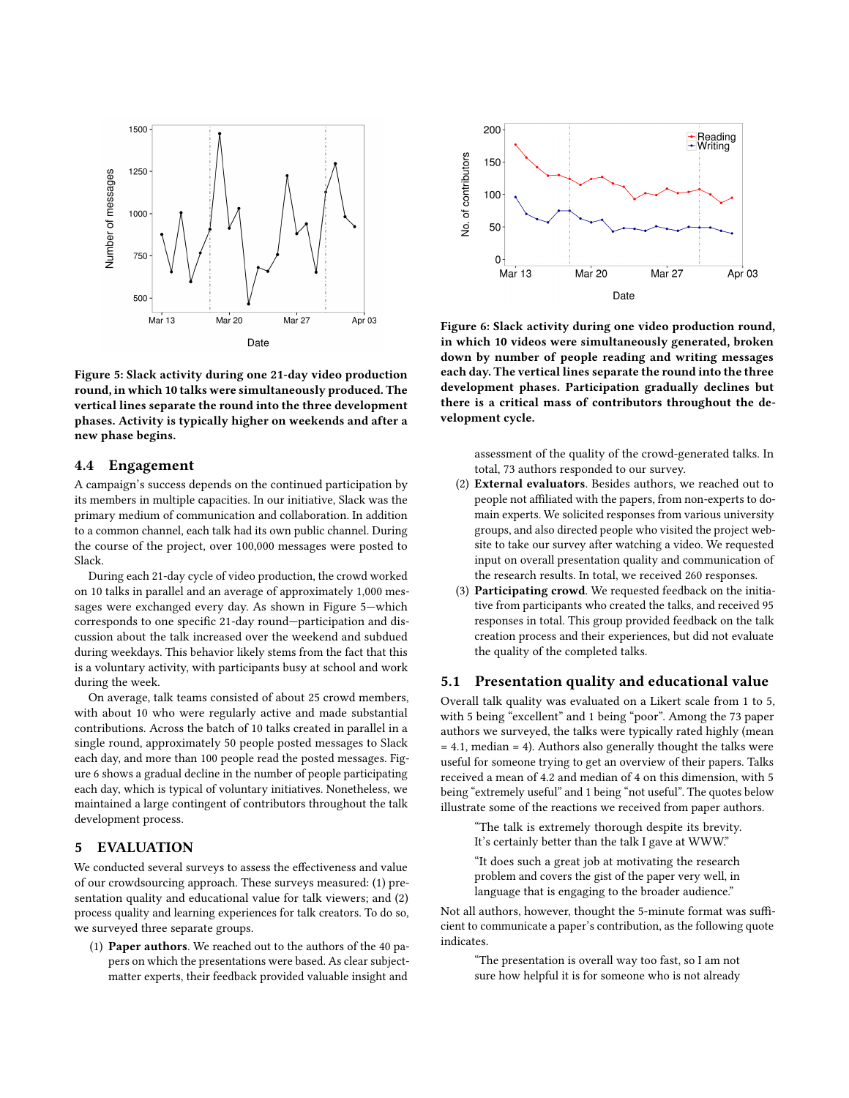<span id="page-6-0"></span>

Figure 5: Slack activity during one 21-day video production round, in which 10 talks were simultaneously produced. The vertical lines separate the round into the three development phases. Activity is typically higher on weekends and after a new phase begins.

## 4.4 Engagement

A campaign's success depends on the continued participation by its members in multiple capacities. In our initiative, Slack was the primary medium of communication and collaboration. In addition to a common channel, each talk had its own public channel. During the course of the project, over 100,000 messages were posted to Slack.

During each 21-day cycle of video production, the crowd worked on 10 talks in parallel and an average of approximately 1,000 messages were exchanged every day. As shown in Figure [5—](#page-6-0)which corresponds to one specific 21-day round—participation and discussion about the talk increased over the weekend and subdued during weekdays. This behavior likely stems from the fact that this is a voluntary activity, with participants busy at school and work during the week.

On average, talk teams consisted of about 25 crowd members, with about 10 who were regularly active and made substantial contributions. Across the batch of 10 talks created in parallel in a single round, approximately 50 people posted messages to Slack each day, and more than 100 people read the posted messages. Figure [6](#page-6-1) shows a gradual decline in the number of people participating each day, which is typical of voluntary initiatives. Nonetheless, we maintained a large contingent of contributors throughout the talk development process.

#### 5 EVALUATION

We conducted several surveys to assess the effectiveness and value of our crowdsourcing approach. These surveys measured: (1) presentation quality and educational value for talk viewers; and (2) process quality and learning experiences for talk creators. To do so, we surveyed three separate groups.

(1) Paper authors. We reached out to the authors of the 40 papers on which the presentations were based. As clear subjectmatter experts, their feedback provided valuable insight and

<span id="page-6-1"></span>

Figure 6: Slack activity during one video production round, in which 10 videos were simultaneously generated, broken down by number of people reading and writing messages each day. The vertical lines separate the round into the three development phases. Participation gradually declines but there is a critical mass of contributors throughout the development cycle.

assessment of the quality of the crowd-generated talks. In total, 73 authors responded to our survey.

- (2) External evaluators. Besides authors, we reached out to people not affiliated with the papers, from non-experts to domain experts. We solicited responses from various university groups, and also directed people who visited the project website to take our survey after watching a video. We requested input on overall presentation quality and communication of the research results. In total, we received 260 responses.
- (3) Participating crowd. We requested feedback on the initiative from participants who created the talks, and received 95 responses in total. This group provided feedback on the talk creation process and their experiences, but did not evaluate the quality of the completed talks.

#### 5.1 Presentation quality and educational value

Overall talk quality was evaluated on a Likert scale from 1 to 5, with 5 being "excellent" and 1 being "poor". Among the 73 paper authors we surveyed, the talks were typically rated highly (mean  $= 4.1$ , median  $= 4$ ). Authors also generally thought the talks were useful for someone trying to get an overview of their papers. Talks received a mean of 4.2 and median of 4 on this dimension, with 5 being "extremely useful" and 1 being "not useful". The quotes below illustrate some of the reactions we received from paper authors.

"The talk is extremely thorough despite its brevity. It's certainly better than the talk I gave at WWW."

"It does such a great job at motivating the research problem and covers the gist of the paper very well, in language that is engaging to the broader audience."

Not all authors, however, thought the 5-minute format was sufficient to communicate a paper's contribution, as the following quote indicates.

> "The presentation is overall way too fast, so I am not sure how helpful it is for someone who is not already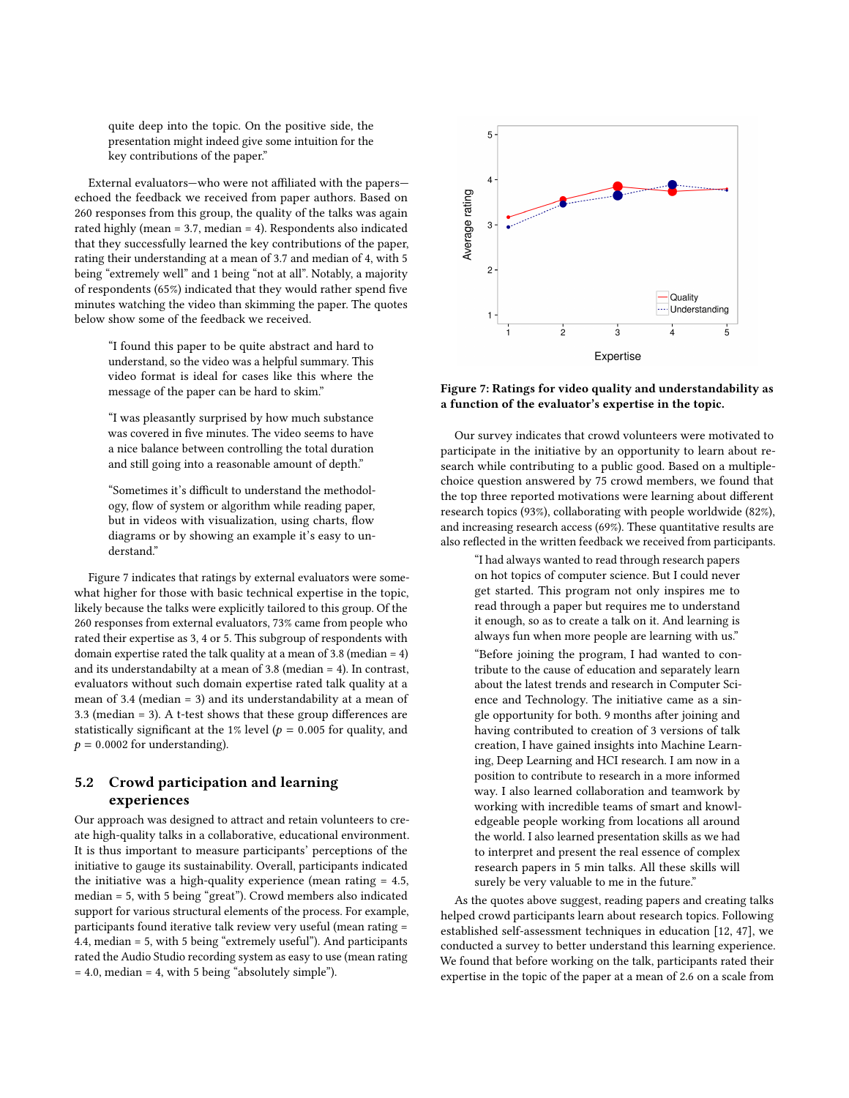quite deep into the topic. On the positive side, the presentation might indeed give some intuition for the key contributions of the paper."

External evaluators—who were not affiliated with the papers echoed the feedback we received from paper authors. Based on 260 responses from this group, the quality of the talks was again rated highly (mean = 3.7, median = 4). Respondents also indicated that they successfully learned the key contributions of the paper, rating their understanding at a mean of 3.7 and median of 4, with 5 being "extremely well" and 1 being "not at all". Notably, a majority of respondents (65%) indicated that they would rather spend five minutes watching the video than skimming the paper. The quotes below show some of the feedback we received.

"I found this paper to be quite abstract and hard to understand, so the video was a helpful summary. This video format is ideal for cases like this where the message of the paper can be hard to skim."

"I was pleasantly surprised by how much substance was covered in five minutes. The video seems to have a nice balance between controlling the total duration and still going into a reasonable amount of depth."

"Sometimes it's difficult to understand the methodology, flow of system or algorithm while reading paper, but in videos with visualization, using charts, flow diagrams or by showing an example it's easy to understand."

Figure [7](#page-7-0) indicates that ratings by external evaluators were somewhat higher for those with basic technical expertise in the topic, likely because the talks were explicitly tailored to this group. Of the 260 responses from external evaluators, 73% came from people who rated their expertise as 3, 4 or 5. This subgroup of respondents with domain expertise rated the talk quality at a mean of 3.8 (median = 4) and its understandabilty at a mean of 3.8 (median = 4). In contrast, evaluators without such domain expertise rated talk quality at a mean of 3.4 (median = 3) and its understandability at a mean of 3.3 (median = 3). A t-test shows that these group differences are statistically significant at the 1% level ( $p = 0.005$  for quality, and  $p = 0.0002$  for understanding).

# 5.2 Crowd participation and learning experiences

Our approach was designed to attract and retain volunteers to create high-quality talks in a collaborative, educational environment. It is thus important to measure participants' perceptions of the initiative to gauge its sustainability. Overall, participants indicated the initiative was a high-quality experience (mean rating = 4.5, median = 5, with 5 being "great"). Crowd members also indicated support for various structural elements of the process. For example, participants found iterative talk review very useful (mean rating = 4.4, median = 5, with 5 being "extremely useful"). And participants rated the Audio Studio recording system as easy to use (mean rating = 4.0, median = 4, with 5 being "absolutely simple").

<span id="page-7-0"></span>

## Figure 7: Ratings for video quality and understandability as a function of the evaluator's expertise in the topic.

Our survey indicates that crowd volunteers were motivated to participate in the initiative by an opportunity to learn about research while contributing to a public good. Based on a multiplechoice question answered by 75 crowd members, we found that the top three reported motivations were learning about different research topics (93%), collaborating with people worldwide (82%), and increasing research access (69%). These quantitative results are also reflected in the written feedback we received from participants.

"I had always wanted to read through research papers on hot topics of computer science. But I could never get started. This program not only inspires me to read through a paper but requires me to understand it enough, so as to create a talk on it. And learning is always fun when more people are learning with us." "Before joining the program, I had wanted to contribute to the cause of education and separately learn about the latest trends and research in Computer Science and Technology. The initiative came as a single opportunity for both. 9 months after joining and having contributed to creation of 3 versions of talk creation, I have gained insights into Machine Learning, Deep Learning and HCI research. I am now in a position to contribute to research in a more informed way. I also learned collaboration and teamwork by working with incredible teams of smart and knowledgeable people working from locations all around the world. I also learned presentation skills as we had to interpret and present the real essence of complex research papers in 5 min talks. All these skills will surely be very valuable to me in the future."

As the quotes above suggest, reading papers and creating talks helped crowd participants learn about research topics. Following established self-assessment techniques in education [\[12,](#page-9-52) [47\]](#page-9-53), we conducted a survey to better understand this learning experience. We found that before working on the talk, participants rated their expertise in the topic of the paper at a mean of 2.6 on a scale from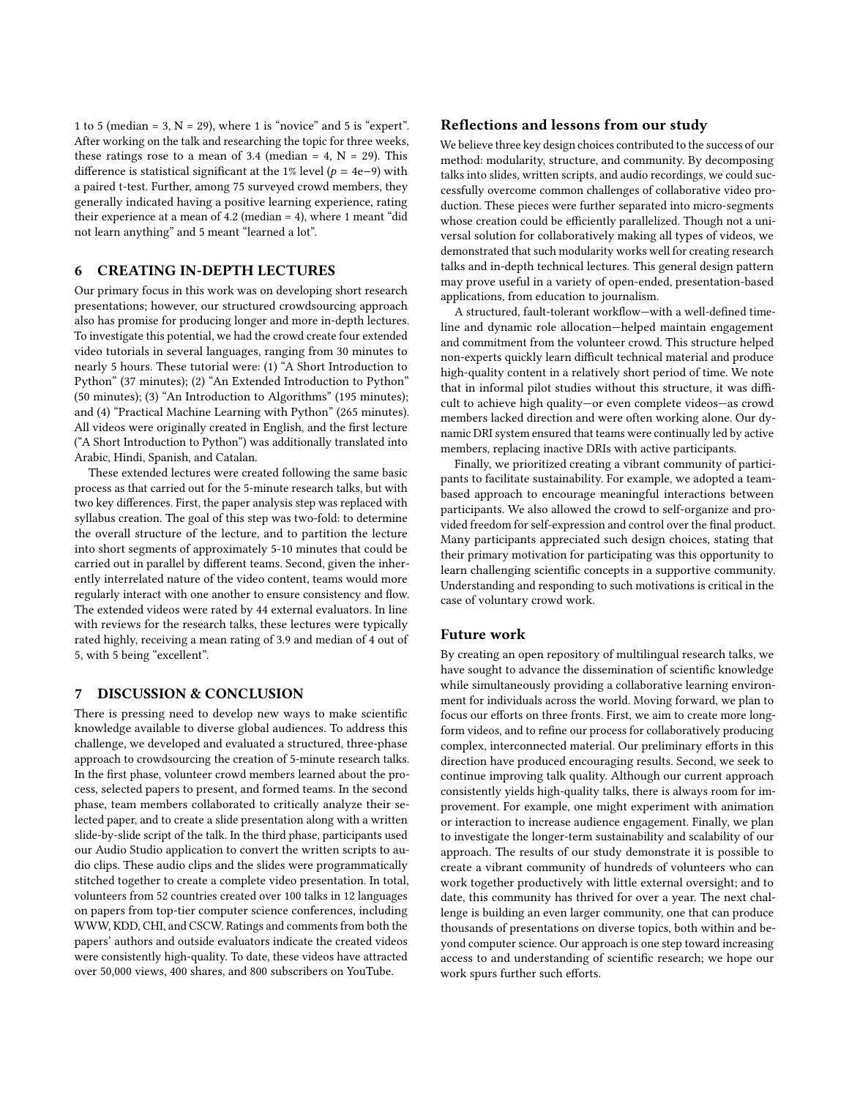1 to 5 (median = 3,  $N = 29$ ), where 1 is "novice" and 5 is "expert". After working on the talk and researching the topic for three weeks, these ratings rose to a mean of 3.4 (median = 4,  $N = 29$ ). This difference is statistical significant at the 1% level ( $p = 4e-9$ ) with a paired t-test. Further, among 75 surveyed crowd members, they generally indicated having a positive learning experience, rating their experience at a mean of 4.2 (median = 4), where 1 meant "did not learn anything" and 5 meant "learned a lot".

## 6 CREATING IN-DEPTH LECTURES

Our primary focus in this work was on developing short research presentations; however, our structured crowdsourcing approach also has promise for producing longer and more in-depth lectures. To investigate this potential, we had the crowd create four extended video tutorials in several languages, ranging from 30 minutes to nearly 5 hours. These tutorial were: (1) "A Short Introduction to Python" (37 minutes); (2) "An Extended Introduction to Python" (50 minutes); (3) "An Introduction to Algorithms" (195 minutes); and (4) "Practical Machine Learning with Python" (265 minutes). All videos were originally created in English, and the first lecture ("A Short Introduction to Python") was additionally translated into Arabic, Hindi, Spanish, and Catalan.

These extended lectures were created following the same basic process as that carried out for the 5-minute research talks, but with two key differences. First, the paper analysis step was replaced with syllabus creation. The goal of this step was two-fold: to determine the overall structure of the lecture, and to partition the lecture into short segments of approximately 5-10 minutes that could be carried out in parallel by different teams. Second, given the inherently interrelated nature of the video content, teams would more regularly interact with one another to ensure consistency and flow. The extended videos were rated by 44 external evaluators. In line with reviews for the research talks, these lectures were typically rated highly, receiving a mean rating of 3.9 and median of 4 out of 5, with 5 being "excellent".

## 7 DISCUSSION & CONCLUSION

There is pressing need to develop new ways to make scientific knowledge available to diverse global audiences. To address this challenge, we developed and evaluated a structured, three-phase approach to crowdsourcing the creation of 5-minute research talks. In the first phase, volunteer crowd members learned about the process, selected papers to present, and formed teams. In the second phase, team members collaborated to critically analyze their selected paper, and to create a slide presentation along with a written slide-by-slide script of the talk. In the third phase, participants used our Audio Studio application to convert the written scripts to audio clips. These audio clips and the slides were programmatically stitched together to create a complete video presentation. In total, volunteers from 52 countries created over 100 talks in 12 languages on papers from top-tier computer science conferences, including WWW, KDD, CHI, and CSCW. Ratings and comments from both the papers' authors and outside evaluators indicate the created videos were consistently high-quality. To date, these videos have attracted over 50,000 views, 400 shares, and 800 subscribers on YouTube.

## Reflections and lessons from our study

We believe three key design choices contributed to the success of our method: modularity, structure, and community. By decomposing talks into slides, written scripts, and audio recordings, we could successfully overcome common challenges of collaborative video production. These pieces were further separated into micro-segments whose creation could be efficiently parallelized. Though not a universal solution for collaboratively making all types of videos, we demonstrated that such modularity works well for creating research talks and in-depth technical lectures. This general design pattern may prove useful in a variety of open-ended, presentation-based applications, from education to journalism.

A structured, fault-tolerant workflow—with a well-defined timeline and dynamic role allocation—helped maintain engagement and commitment from the volunteer crowd. This structure helped non-experts quickly learn difficult technical material and produce high-quality content in a relatively short period of time. We note that in informal pilot studies without this structure, it was difficult to achieve high quality—or even complete videos—as crowd members lacked direction and were often working alone. Our dynamic DRI system ensured that teams were continually led by active members, replacing inactive DRIs with active participants.

Finally, we prioritized creating a vibrant community of participants to facilitate sustainability. For example, we adopted a teambased approach to encourage meaningful interactions between participants. We also allowed the crowd to self-organize and provided freedom for self-expression and control over the final product. Many participants appreciated such design choices, stating that their primary motivation for participating was this opportunity to learn challenging scientific concepts in a supportive community. Understanding and responding to such motivations is critical in the case of voluntary crowd work.

#### Future work

By creating an open repository of multilingual research talks, we have sought to advance the dissemination of scientific knowledge while simultaneously providing a collaborative learning environment for individuals across the world. Moving forward, we plan to focus our efforts on three fronts. First, we aim to create more longform videos, and to refine our process for collaboratively producing complex, interconnected material. Our preliminary efforts in this direction have produced encouraging results. Second, we seek to continue improving talk quality. Although our current approach consistently yields high-quality talks, there is always room for improvement. For example, one might experiment with animation or interaction to increase audience engagement. Finally, we plan to investigate the longer-term sustainability and scalability of our approach. The results of our study demonstrate it is possible to create a vibrant community of hundreds of volunteers who can work together productively with little external oversight; and to date, this community has thrived for over a year. The next challenge is building an even larger community, one that can produce thousands of presentations on diverse topics, both within and beyond computer science. Our approach is one step toward increasing access to and understanding of scientific research; we hope our work spurs further such efforts.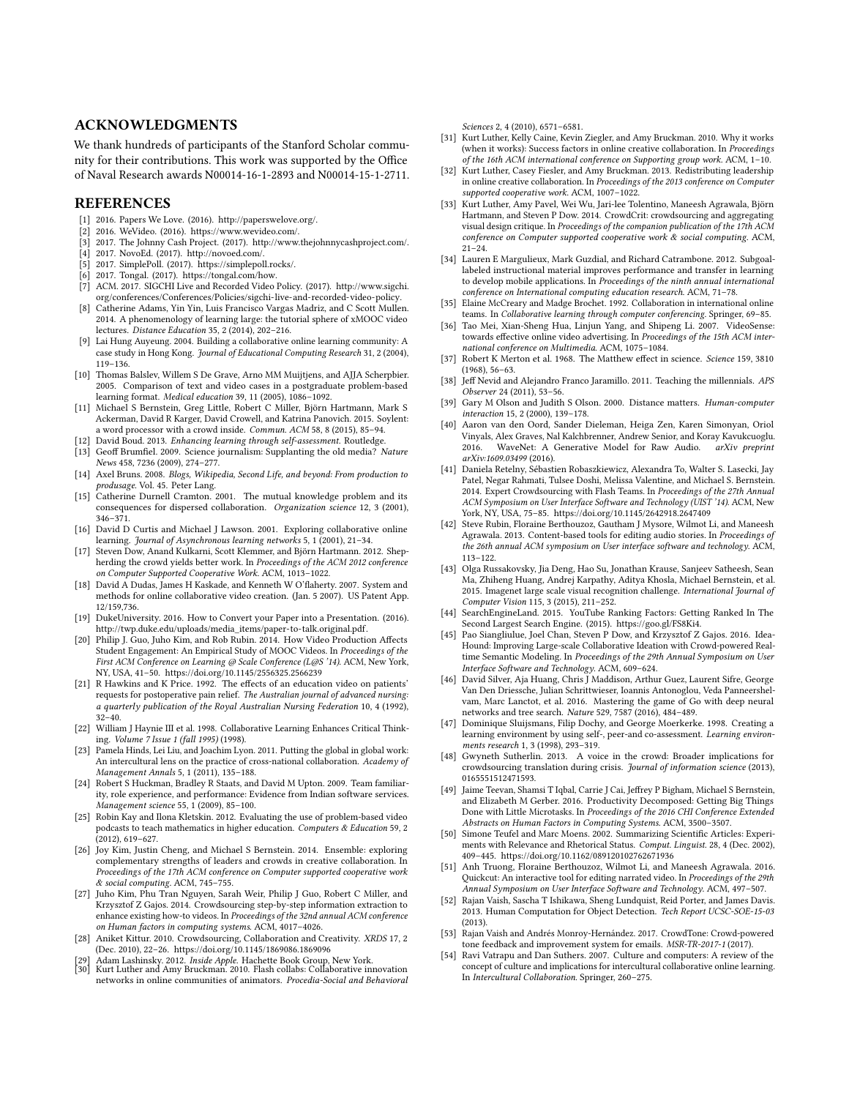## ACKNOWLEDGMENTS

We thank hundreds of participants of the Stanford Scholar community for their contributions. This work was supported by the Office of Naval Research awards N00014-16-1-2893 and N00014-15-1-2711.

#### **REFERENCES**

- <span id="page-9-16"></span>2016. Papers We Love. (2016). [http://paperswelove.org/.](http://paperswelove.org/)
- <span id="page-9-37"></span>[2] 2016. WeVideo. (2016). [https://www.wevideo.com/.](https://www.wevideo.com/)
- <span id="page-9-43"></span><span id="page-9-35"></span>[3] 2017. The Johnny Cash Project. (2017). [http://www.thejohnnycashproject.com/.](http://www.thejohnnycashproject.com/) [4] 2017. NovoEd. (2017). [http://novoed.com/.](http://novoed.com/)
- <span id="page-9-51"></span>[5] 2017. SimplePoll. (2017). [https://simplepoll.rocks/.](https://simplepoll.rocks/)
- <span id="page-9-33"></span>[6] 2017. Tongal. (2017). [https://tongal.com/how.](https://tongal.com/how)
- <span id="page-9-17"></span>[7] ACM. 2017. SIGCHI Live and Recorded Video Policy. (2017). [http://www.sigchi.](http://www.sigchi.org/conferences/Conferences/Policies/sigchi-live-and-recorded-video-policy) [org/conferences/Conferences/Policies/sigchi-live-and-recorded-video-policy.](http://www.sigchi.org/conferences/Conferences/Policies/sigchi-live-and-recorded-video-policy)
- <span id="page-9-15"></span>[8] Catherine Adams, Yin Yin, Luis Francisco Vargas Madriz, and C Scott Mullen. 2014. A phenomenology of learning large: the tutorial sphere of xMOOC video lectures. Distance Education 35, 2 (2014), 202–216.
- <span id="page-9-41"></span>[9] Lai Hung Auyeung. 2004. Building a collaborative online learning community: A case study in Hong Kong. Journal of Educational Computing Research 31, 2 (2004), 119–136.
- <span id="page-9-10"></span>[10] Thomas Balslev, Willem S De Grave, Arno MM Muijtjens, and AJJA Scherpbier. 2005. Comparison of text and video cases in a postgraduate problem-based learning format. Medical education 39, 11 (2005), 1086–1092.
- <span id="page-9-21"></span>[11] Michael S Bernstein, Greg Little, Robert C Miller, Björn Hartmann, Mark S Ackerman, David R Karger, David Crowell, and Katrina Panovich. 2015. Soylent: a word processor with a crowd inside. Commun. ACM 58, 8 (2015), 85–94.
- <span id="page-9-52"></span>[12] David Boud. 2013. Enhancing learning through self-assessment. Routledge.
- <span id="page-9-8"></span>[13] Geoff Brumfiel. 2009. Science journalism: Supplanting the old media? Nature News 458, 7236 (2009), 274–277.
- <span id="page-9-30"></span>[14] Axel Bruns. 2008. Blogs, Wikipedia, Second Life, and beyond: From production to produsage. Vol. 45. Peter Lang. [15] Catherine Durnell Cramton. 2001. The mutual knowledge problem and its
- <span id="page-9-25"></span>consequences for dispersed collaboration. Organization science 12, 3 (2001), 346–371.
- <span id="page-9-39"></span>[16] David D Curtis and Michael J Lawson. 2001. Exploring collaborative online learning. Journal of Asynchronous learning networks 5, 1 (2001), 21–34.
- <span id="page-9-49"></span>[17] Steven Dow, Anand Kulkarni, Scott Klemmer, and Björn Hartmann. 2012. Shepherding the crowd yields better work. In Proceedings of the ACM 2012 conference on Computer Supported Cooperative Work. ACM, 1013–1022.
- <span id="page-9-38"></span>[18] David A Dudas, James H Kaskade, and Kenneth W O'flaherty. 2007. System and methods for online collaborative video creation. (Jan. 5 2007). US Patent App. 12/159,736.
- <span id="page-9-48"></span>[19] DukeUniversity. 2016. How to Convert your Paper into a Presentation. (2016). [http://twp.duke.edu/uploads/media\\_items/paper-to-talk.original.pdf.](http://twp.duke.edu/uploads/media_items/paper-to-talk.original.pdf)
- <span id="page-9-1"></span>[20] Philip J. Guo, Juho Kim, and Rob Rubin. 2014. How Video Production Affects Student Engagement: An Empirical Study of MOOC Videos. In Proceedings of the First ACM Conference on Learning @ Scale Conference (L@S '14). ACM, New York, NY, USA, 41–50.<https://doi.org/10.1145/2556325.2566239>
- <span id="page-9-14"></span>[21] R Hawkins and K Price. 1992. The effects of an education video on patients' requests for postoperative pain relief. The Australian journal of advanced nursing: a quarterly publication of the Royal Australian Nursing Federation 10, 4 (1992), 32–40.
- <span id="page-9-40"></span>[22] William J Haynie III et al. 1998. Collaborative Learning Enhances Critical Thinking. Volume 7 Issue 1 (fall 1995) (1998).
- <span id="page-9-5"></span>[23] Pamela Hinds, Lei Liu, and Joachim Lyon. 2011. Putting the global in global work: An intercultural lens on the practice of cross-national collaboration. Academy of Management Annals 5, 1 (2011), 135–188.
- <span id="page-9-28"></span>[24] Robert S Huckman, Bradley R Staats, and David M Upton. 2009. Team familiarity, role experience, and performance: Evidence from Indian software services. Management science 55, 1 (2009), 85–100.
- <span id="page-9-13"></span>[25] Robin Kay and Ilona Kletskin. 2012. Evaluating the use of problem-based video podcasts to teach mathematics in higher education. Computers & Education 59, 2 (2012), 619–627.
- <span id="page-9-32"></span>[26] Joy Kim, Justin Cheng, and Michael S Bernstein. 2014. Ensemble: exploring complementary strengths of leaders and crowds in creative collaboration. In Proceedings of the 17th ACM conference on Computer supported cooperative work & social computing. ACM, 745–755.
- <span id="page-9-24"></span>[27] Juho Kim, Phu Tran Nguyen, Sarah Weir, Philip J Guo, Robert C Miller, and Krzysztof Z Gajos. 2014. Crowdsourcing step-by-step information extraction to enhance existing how-to videos. In Proceedings of the 32nd annual ACM conference on Human factors in computing systems. ACM, 4017–4026.
- <span id="page-9-2"></span>[28] Aniket Kittur. 2010. Crowdsourcing, Collaboration and Creativity. XRDS 17, 2 (Dec. 2010), 22–26.<https://doi.org/10.1145/1869086.1869096>
- <span id="page-9-47"></span><span id="page-9-4"></span>[29] Adam Lashinsky. 2012. Inside Apple. Hachette Book Group, New York. [30] Kurt Luther and Amy Bruckman. 2010. Flash collabs: Collaborative innovation
- networks in online communities of animators. Procedia-Social and Behavioral

Sciences 2, 4 (2010), 6571–6581.

- <span id="page-9-26"></span>[31] Kurt Luther, Kelly Caine, Kevin Ziegler, and Amy Bruckman. 2010. Why it works (when it works): Success factors in online creative collaboration. In Proceedings of the 16th ACM international conference on Supporting group work. ACM, 1–10.
- <span id="page-9-27"></span>[32] Kurt Luther, Casey Fiesler, and Amy Bruckman. 2013. Redistributing leadership in online creative collaboration. In Proceedings of the 2013 conference on Computer supported cooperative work. ACM, 1007–1022.
- <span id="page-9-23"></span>[33] Kurt Luther, Amy Pavel, Wei Wu, Jari-lee Tolentino, Maneesh Agrawala, Björn Hartmann, and Steven P Dow. 2014. CrowdCrit: crowdsourcing and aggregating visual design critique. In Proceedings of the companion publication of the 17th ACM conference on Computer supported cooperative work & social computing. ACM,  $21 - 24$ .
- <span id="page-9-44"></span>[34] Lauren E Margulieux, Mark Guzdial, and Richard Catrambone. 2012. Subgoallabeled instructional material improves performance and transfer in learning to develop mobile applications. In Proceedings of the ninth annual international conference on International computing education research. ACM, 71–78.
- <span id="page-9-31"></span>[35] Elaine McCreary and Madge Brochet. 1992. Collaboration in international online teams. In Collaborative learning through computer conferencing. Springer, 69–85.
- <span id="page-9-12"></span>[36] Tao Mei, Xian-Sheng Hua, Linjun Yang, and Shipeng Li. 2007. VideoSense: towards effective online video advertising. In Proceedings of the 15th ACM international conference on Multimedia. ACM, 1075–1084.
- <span id="page-9-45"></span>[37] Robert K Merton et al. 1968. The Matthew effect in science. Science 159, 3810 (1968), 56–63.
- <span id="page-9-0"></span>[38] Jeff Nevid and Alejandro Franco Jaramillo. 2011. Teaching the millennials. APS Observer 24 (2011), 53–56.
- <span id="page-9-29"></span>[39] Gary M Olson and Judith S Olson. 2000. Distance matters. Human-computer interaction 15, 2 (2000), 139–178.
- <span id="page-9-50"></span>[40] Aaron van den Oord, Sander Dieleman, Heiga Zen, Karen Simonyan, Oriol Vinyals, Alex Graves, Nal Kalchbrenner, Andrew Senior, and Koray Kavukcuoglu. 2016. WaveNet: A Generative Model for Raw Audio. arXiv preprint arXiv:1609.03499 (2016).
- <span id="page-9-3"></span>[41] Daniela Retelny, Sébastien Robaszkiewicz, Alexandra To, Walter S. Lasecki, Jay Patel, Negar Rahmati, Tulsee Doshi, Melissa Valentine, and Michael S. Bernstein. 2014. Expert Crowdsourcing with Flash Teams. In Proceedings of the 27th Annual ACM Symposium on User Interface Software and Technology (UIST '14). ACM, New York, NY, USA, 75–85.<https://doi.org/10.1145/2642918.2647409>
- <span id="page-9-36"></span>[42] Steve Rubin, Floraine Berthouzoz, Gautham J Mysore, Wilmot Li, and Maneesh Agrawala. 2013. Content-based tools for editing audio stories. In Proceedings of the 26th annual ACM symposium on User interface software and technology. ACM, 113–122.
- <span id="page-9-18"></span>[43] Olga Russakovsky, Jia Deng, Hao Su, Jonathan Krause, Sanjeev Satheesh, Sean Ma, Zhiheng Huang, Andrej Karpathy, Aditya Khosla, Michael Bernstein, et al. 2015. Imagenet large scale visual recognition challenge. International Journal of Computer Vision 115, 3 (2015), 211–252.
- <span id="page-9-11"></span>[44] SearchEngineLand. 2015. YouTube Ranking Factors: Getting Ranked In The Second Largest Search Engine. (2015). [https://goo.gl/FS8Ki4.](https://goo.gl/FS8Ki4)
- <span id="page-9-34"></span>[45] Pao Siangliulue, Joel Chan, Steven P Dow, and Krzysztof Z Gajos. 2016. Idea-Hound: Improving Large-scale Collaborative Ideation with Crowd-powered Realtime Semantic Modeling. In Proceedings of the 29th Annual Symposium on User Interface Software and Technology. ACM, 609–624.
- <span id="page-9-46"></span>[46] David Silver, Aja Huang, Chris J Maddison, Arthur Guez, Laurent Sifre, George Van Den Driessche, Julian Schrittwieser, Ioannis Antonoglou, Veda Panneershelvam, Marc Lanctot, et al. 2016. Mastering the game of Go with deep neural networks and tree search. Nature 529, 7587 (2016), 484–489.
- <span id="page-9-53"></span>[47] Dominique Sluijsmans, Filip Dochy, and George Moerkerke. 1998. Creating a learning environment by using self-, peer-and co-assessment. Learning environments research 1, 3 (1998), 293–319.
- <span id="page-9-20"></span>[48] Gwyneth Sutherlin. 2013. A voice in the crowd: Broader implications for crowdsourcing translation during crisis. Journal of information science (2013), 0165551512471593.
- <span id="page-9-7"></span>[49] Jaime Teevan, Shamsi T Iqbal, Carrie J Cai, Jeffrey P Bigham, Michael S Bernstein, and Elizabeth M Gerber. 2016. Productivity Decomposed: Getting Big Things Done with Little Microtasks. In Proceedings of the 2016 CHI Conference Extended Abstracts on Human Factors in Computing Systems. ACM, 3500–3507.
- <span id="page-9-9"></span>[50] Simone Teufel and Marc Moens. 2002. Summarizing Scientific Articles: Experiments with Relevance and Rhetorical Status. Comput. Linguist. 28, 4 (Dec. 2002), 409–445.<https://doi.org/10.1162/089120102762671936>
- <span id="page-9-6"></span>[51] Anh Truong, Floraine Berthouzoz, Wilmot Li, and Maneesh Agrawala. 2016. Quickcut: An interactive tool for editing narrated video. In Proceedings of the 29th Annual Symposium on User Interface Software and Technology. ACM, 497–507.
- <span id="page-9-19"></span>[52] Rajan Vaish, Sascha T Ishikawa, Sheng Lundquist, Reid Porter, and James Davis. 2013. Human Computation for Object Detection. Tech Report UCSC-SOE-15-03 (2013).
- <span id="page-9-22"></span>[53] Rajan Vaish and Andrés Monroy-Hernández. 2017. CrowdTone: Crowd-powered tone feedback and improvement system for emails. MSR-TR-2017-1 (2017).
- <span id="page-9-42"></span>[54] Ravi Vatrapu and Dan Suthers. 2007. Culture and computers: A review of the concept of culture and implications for intercultural collaborative online learning. In Intercultural Collaboration. Springer, 260–275.